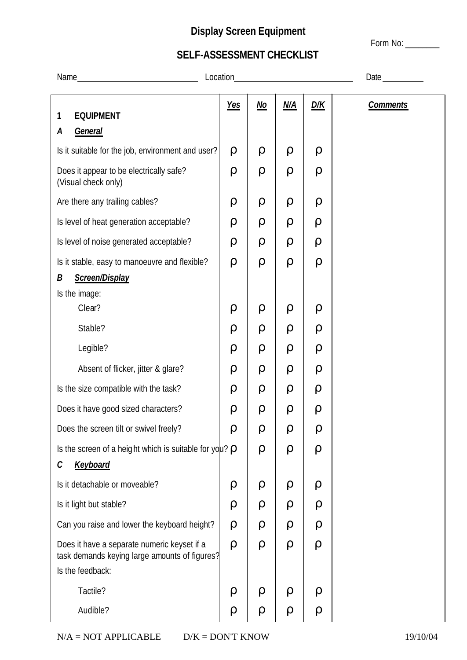## **Display Screen Equipment**

Form No: \_\_\_\_\_\_\_\_

## **SELF-ASSESSMENT CHECKLIST**

| Location<br>Name                                                                                                 |            | Date                      |        |        |                 |
|------------------------------------------------------------------------------------------------------------------|------------|---------------------------|--------|--------|-----------------|
| <b>EQUIPMENT</b><br>1                                                                                            | <b>Yes</b> | $\underline{\textit{No}}$ | N/A    | D/K    | <b>Comments</b> |
| General<br>A                                                                                                     |            |                           |        |        |                 |
| Is it suitable for the job, environment and user?                                                                | $\rho$     | ρ                         | ρ      | $\rho$ |                 |
| Does it appear to be electrically safe?<br>(Visual check only)                                                   | $\rho$     | $\rho$                    | $\rho$ | $\rho$ |                 |
| Are there any trailing cables?                                                                                   | $\rho$     | $\rho$                    | $\rho$ | $\rho$ |                 |
| Is level of heat generation acceptable?                                                                          | $\rho$     | ρ                         | ρ      | ρ      |                 |
| Is level of noise generated acceptable?                                                                          | $\rho$     | $\rho$                    | ρ      | $\rho$ |                 |
| Is it stable, easy to manoeuvre and flexible?                                                                    | $\rho$     | $\rho$                    | $\rho$ | $\rho$ |                 |
| Screen/Display<br>В                                                                                              |            |                           |        |        |                 |
| Is the image:                                                                                                    |            |                           |        |        |                 |
| Clear?                                                                                                           | $\rho$     | ρ                         | ρ      | $\rho$ |                 |
| Stable?                                                                                                          | $\rho$     | ρ                         | ρ      | $\rho$ |                 |
| Legible?                                                                                                         | $\rho$     | ρ                         | $\rho$ | $\rho$ |                 |
| Absent of flicker, jitter & glare?                                                                               | $\rho$     | ρ                         | ρ      | $\rho$ |                 |
| Is the size compatible with the task?                                                                            | $\rho$     | ρ                         | ρ      | ρ      |                 |
| Does it have good sized characters?                                                                              | $\rho$     | $\rho$                    | ρ      | $\rho$ |                 |
| Does the screen tilt or swivel freely?                                                                           | ρ          | ρ                         | ρ      | $\rho$ |                 |
| Is the screen of a height which is suitable for $ydx \rho$                                                       |            | $\rho$                    | $\rho$ | $\rho$ |                 |
| <b>Keyboard</b><br>С                                                                                             |            |                           |        |        |                 |
| Is it detachable or moveable?                                                                                    | $\rho$     | ρ                         | ρ      | $\rho$ |                 |
| Is it light but stable?                                                                                          | $\rho$     | $\rho$                    | $\rho$ | $\rho$ |                 |
| Can you raise and lower the keyboard height?                                                                     | $\rho$     | ρ                         | ρ      | $\rho$ |                 |
| Does it have a separate numeric keyset if a<br>task demands keying large amounts of figures?<br>Is the feedback: | $\rho$     | $\rho$                    | $\rho$ | $\rho$ |                 |
| Tactile?                                                                                                         | ρ          | ρ                         | ρ      | $\rho$ |                 |
| Audible?                                                                                                         | ρ          | $\rho$                    | $\rho$ | $\rho$ |                 |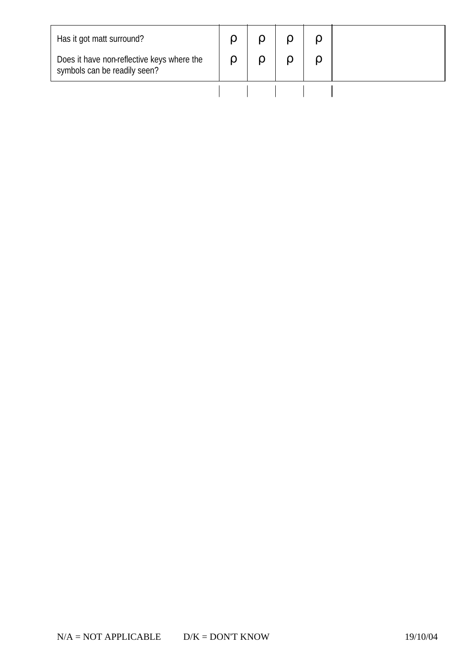| Has it got matt surround?<br>Does it have non-reflective keys where the |  |  |  |
|-------------------------------------------------------------------------|--|--|--|
| symbols can be readily seen?                                            |  |  |  |
|                                                                         |  |  |  |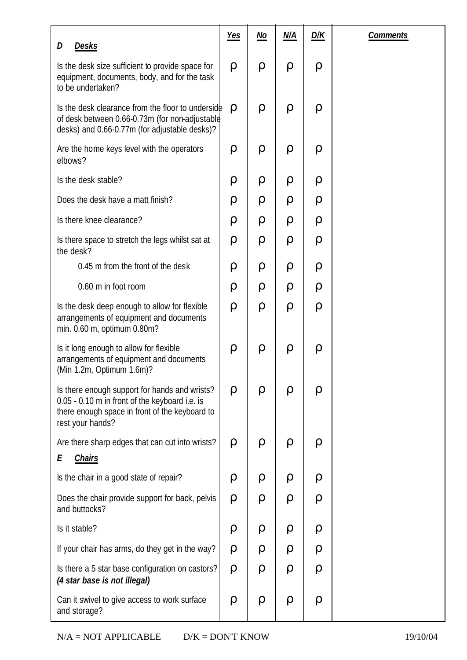| <b>Desks</b><br>D                                                                                                                                                     | <b>Yes</b> | <u>No</u> | N/A    | <b>D/K</b> | <b>Comments</b> |
|-----------------------------------------------------------------------------------------------------------------------------------------------------------------------|------------|-----------|--------|------------|-----------------|
| Is the desk size sufficient to provide space for<br>equipment, documents, body, and for the task<br>to be undertaken?                                                 | $\rho$     | $\rho$    | $\rho$ | $\rho$     |                 |
| Is the desk clearance from the floor to underside<br>of desk between 0.66-0.73m (for non-adjustable<br>desks) and 0.66-0.77m (for adjustable desks)?                  | $\rho$     | $\rho$    | $\rho$ | $\rho$     |                 |
| Are the home keys level with the operators<br>elbows?                                                                                                                 | $\rho$     | $\rho$    | $\rho$ | $\rho$     |                 |
| Is the desk stable?                                                                                                                                                   | $\rho$     | $\rho$    | $\rho$ | $\rho$     |                 |
| Does the desk have a matt finish?                                                                                                                                     | $\rho$     | ρ         | ρ      | $\rho$     |                 |
| Is there knee clearance?                                                                                                                                              | $\rho$     | ρ         | $\rho$ | $\rho$     |                 |
| Is there space to stretch the legs whilst sat at<br>the desk?                                                                                                         | $\rho$     | $\rho$    | $\rho$ | $\rho$     |                 |
| 0.45 m from the front of the desk                                                                                                                                     | ρ          | ρ         | $\rho$ | $\rho$     |                 |
| 0.60 m in foot room                                                                                                                                                   | $\rho$     | ρ         | $\rho$ | $\rho$     |                 |
| Is the desk deep enough to allow for flexible<br>arrangements of equipment and documents<br>min. 0.60 m, optimum 0.80m?                                               | $\rho$     | $\rho$    | $\rho$ | $\rho$     |                 |
| Is it long enough to allow for flexible<br>arrangements of equipment and documents<br>(Min 1.2m, Optimum 1.6m)?                                                       | $\rho$     | $\rho$    | $\rho$ | $\rho$     |                 |
| Is there enough support for hands and wrists?<br>0.05 - 0.10 m in front of the keyboard i.e. is<br>there enough space in front of the keyboard to<br>rest your hands? | $\rho$     | ρ         | ρ      | ρ          |                 |
| Are there sharp edges that can cut into wrists?<br>Ε<br><b>Chairs</b>                                                                                                 | ρ          | $\rho$    | ρ      | $\rho$     |                 |
| Is the chair in a good state of repair?                                                                                                                               | ρ          | $\rho$    | ρ      | $\rho$     |                 |
| Does the chair provide support for back, pelvis<br>and buttocks?                                                                                                      | $\rho$     | $\rho$    | ρ      | $\rho$     |                 |
| Is it stable?                                                                                                                                                         | $\rho$     | ρ         | ρ      | ρ          |                 |
| If your chair has arms, do they get in the way?                                                                                                                       | ρ          | ρ         | $\rho$ | ρ          |                 |
| Is there a 5 star base configuration on castors?<br>(4 star base is not illegal)                                                                                      | $\rho$     | $\rho$    | $\rho$ | ρ          |                 |
| Can it swivel to give access to work surface<br>and storage?                                                                                                          | $\rho$     | $\rho$    | $\rho$ | $\rho$     |                 |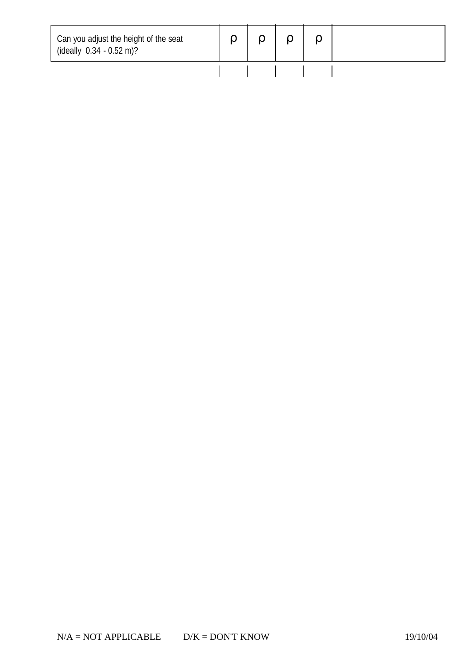| Can you adjust the height of the seat<br>(ideally $0.34 - 0.52$ m)? |  |  |  |
|---------------------------------------------------------------------|--|--|--|
|                                                                     |  |  |  |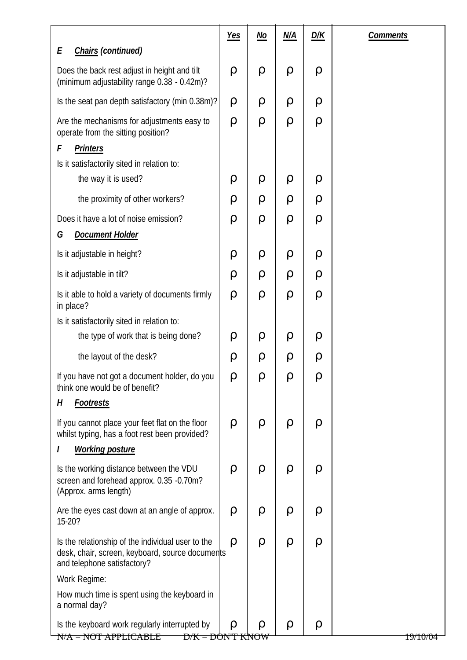|                                                                                                                                     | <u>Yes</u> | <u>No</u> | <u>N/A</u> | <u>D/K</u> | <b>Comments</b> |
|-------------------------------------------------------------------------------------------------------------------------------------|------------|-----------|------------|------------|-----------------|
| Chairs (continued)<br>Ε                                                                                                             |            |           |            |            |                 |
| Does the back rest adjust in height and tilt<br>(minimum adjustability range 0.38 - 0.42m)?                                         | $\rho$     | ρ         | $\rho$     | $\rho$     |                 |
| Is the seat pan depth satisfactory (min 0.38m)?                                                                                     | ρ          | ρ         | $\rho$     | ρ          |                 |
| Are the mechanisms for adjustments easy to<br>operate from the sitting position?                                                    | $\rho$     | $\rho$    | $\rho$     | $\rho$     |                 |
| F<br><b>Printers</b>                                                                                                                |            |           |            |            |                 |
| Is it satisfactorily sited in relation to:                                                                                          |            |           |            |            |                 |
| the way it is used?                                                                                                                 | ρ          | ρ         | $\rho$     | ρ          |                 |
| the proximity of other workers?                                                                                                     | ρ          | ρ         | ρ          | ρ          |                 |
| Does it have a lot of noise emission?                                                                                               | ρ          | $\rho$    | $\rho$     | $\rho$     |                 |
| <b>Document Holder</b><br>G                                                                                                         |            |           |            |            |                 |
| Is it adjustable in height?                                                                                                         | ρ          | ρ         | $\rho$     | ρ          |                 |
| Is it adjustable in tilt?                                                                                                           | ρ          | ρ         | ρ          | ρ          |                 |
| Is it able to hold a variety of documents firmly<br>in place?                                                                       | $\rho$     | ρ         | $\rho$     | $\rho$     |                 |
| Is it satisfactorily sited in relation to:                                                                                          |            |           |            |            |                 |
| the type of work that is being done?                                                                                                | ρ          | ρ         | $\rho$     | ρ          |                 |
| the layout of the desk?                                                                                                             | ρ          | ρ         | ρ          | $\rho$     |                 |
| If you have not got a document holder, do you<br>think one would be of benefit?                                                     | $\rho$     | ρ         | ρ          |            |                 |
| <b>Footrests</b><br>H                                                                                                               |            |           |            |            |                 |
| If you cannot place your feet flat on the floor<br>whilst typing, has a foot rest been provided?                                    | ρ          | ρ         | ρ          | $\rho$     |                 |
| <b>Working posture</b>                                                                                                              |            |           |            |            |                 |
| Is the working distance between the VDU<br>screen and forehead approx. 0.35 -0.70m?<br>(Approx. arms length)                        | ρ          | ρ         | $\rho$     | $\rho$     |                 |
| Are the eyes cast down at an angle of approx.<br>15-20?                                                                             | $\rho$     | ρ         | $\rho$     | $\rho$     |                 |
| Is the relationship of the individual user to the<br>desk, chair, screen, keyboard, source documents<br>and telephone satisfactory? | ρ          | ρ         | ρ          | $\rho$     |                 |
| Work Regime:                                                                                                                        |            |           |            |            |                 |
| How much time is spent using the keyboard in<br>a normal day?                                                                       |            |           |            |            |                 |
| Is the keyboard work regularly interrupted by<br>$N/A = NOT APPLICATION$<br><u>D/K = DON'T KNOW</u>                                 | ρ          | ρ         | ρ          | ρ          | 19/10/02        |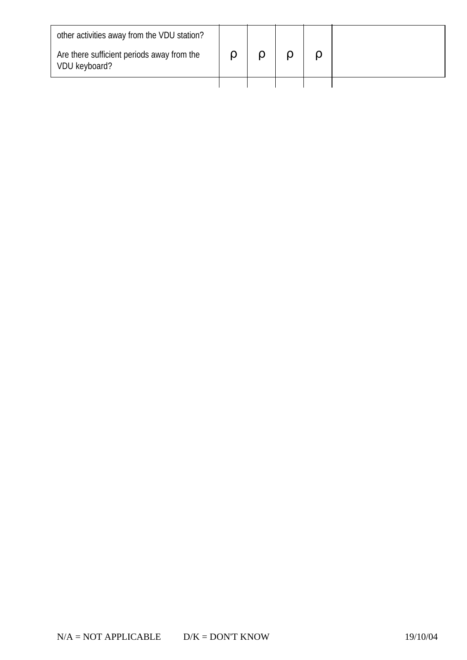| other activities away from the VDU station?                 |  |  |  |
|-------------------------------------------------------------|--|--|--|
| Are there sufficient periods away from the<br>VDU keyboard? |  |  |  |
|                                                             |  |  |  |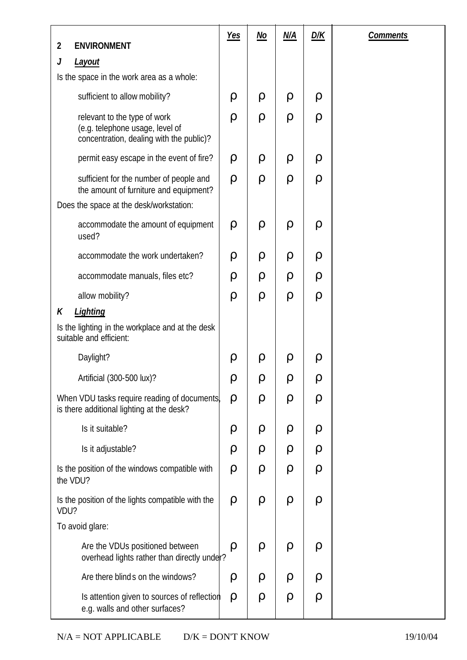|                                                                                                                              | $Yes$  | <u>No</u> | M/A    | <u>D/K</u> | <b>Comments</b> |
|------------------------------------------------------------------------------------------------------------------------------|--------|-----------|--------|------------|-----------------|
| <b>ENVIRONMENT</b><br>$\overline{2}$<br>J                                                                                    |        |           |        |            |                 |
| <b>Layout</b><br>Is the space in the work area as a whole:                                                                   |        |           |        |            |                 |
| sufficient to allow mobility?                                                                                                | $\rho$ | ρ         | $\rho$ | $\rho$     |                 |
| relevant to the type of work<br>(e.g. telephone usage, level of<br>concentration, dealing with the public)?                  | $\rho$ | $\rho$    | $\rho$ | $\rho$     |                 |
| permit easy escape in the event of fire?                                                                                     | $\rho$ | $\rho$    | $\rho$ | $\rho$     |                 |
| sufficient for the number of people and<br>the amount of furniture and equipment?<br>Does the space at the desk/workstation: | $\rho$ | $\rho$    | $\rho$ | $\rho$     |                 |
| accommodate the amount of equipment<br>used?                                                                                 | $\rho$ | $\rho$    | $\rho$ | $\rho$     |                 |
| accommodate the work undertaken?                                                                                             | $\rho$ | $\rho$    | $\rho$ | $\rho$     |                 |
| accommodate manuals, files etc?                                                                                              | ρ      | $\rho$    | ρ      | $\rho$     |                 |
| allow mobility?                                                                                                              | $\rho$ | $\rho$    | $\rho$ | $\rho$     |                 |
| Lighting<br>K<br>Is the lighting in the workplace and at the desk<br>suitable and efficient:                                 |        |           |        |            |                 |
| Daylight?                                                                                                                    | $\rho$ | $\rho$    | ρ      | $\rho$     |                 |
| Artificial (300-500 lux)?                                                                                                    | ρ      | ρ         | ρ      | $\rho$     |                 |
| When VDU tasks require reading of documents,<br>is there additional lighting at the desk?                                    | $\rho$ | $\rho$    | $\rho$ | $\rho$     |                 |
| Is it suitable?                                                                                                              | $\rho$ | ρ         | $\rho$ | $\rho$     |                 |
| Is it adjustable?                                                                                                            | $\rho$ | $\rho$    | $\rho$ | $\rho$     |                 |
| Is the position of the windows compatible with<br>the VDU?                                                                   | $\rho$ | $\rho$    | ρ      | $\rho$     |                 |
| Is the position of the lights compatible with the<br>VDU?                                                                    | $\rho$ | $\rho$    | $\rho$ | $\rho$     |                 |
| To avoid glare:                                                                                                              |        |           |        |            |                 |
| Are the VDUs positioned between<br>overhead lights rather than directly under?                                               | $\rho$ | $\rho$    | $\rho$ | $\rho$     |                 |
| Are there blinds on the windows?                                                                                             | ρ      | ρ         | ρ      | $\rho$     |                 |
| Is attention given to sources of reflection<br>e.g. walls and other surfaces?                                                | $\rho$ | $\rho$    | $\rho$ | $\rho$     |                 |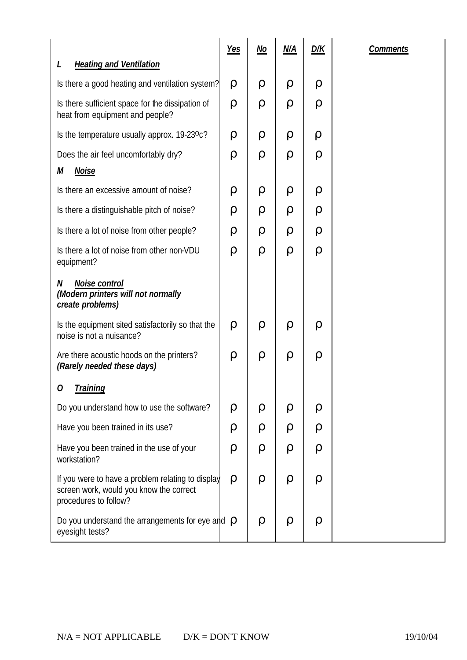|                                                                                                                       | <u>Yes</u> | <u>No</u> | <u>N/A</u> | <u>D/K</u> | <b>Comments</b> |
|-----------------------------------------------------------------------------------------------------------------------|------------|-----------|------------|------------|-----------------|
| <b>Heating and Ventilation</b>                                                                                        |            |           |            |            |                 |
| Is there a good heating and ventilation system?                                                                       | ρ          | ρ         | ρ          | ρ          |                 |
| Is there sufficient space for the dissipation of<br>heat from equipment and people?                                   | ρ          | ρ         | ρ          | ρ          |                 |
| Is the temperature usually approx. 19-23 <sup>o</sup> c?                                                              | ρ          | ρ         | ρ          | $\rho$     |                 |
| Does the air feel uncomfortably dry?                                                                                  | $\rho$     | $\rho$    | ρ          | ρ          |                 |
| <b>Noise</b><br>М                                                                                                     |            |           |            |            |                 |
| Is there an excessive amount of noise?                                                                                | ρ          | ρ         | ρ          | ρ          |                 |
| Is there a distinguishable pitch of noise?                                                                            | ρ          | ρ         | ρ          | ρ          |                 |
| Is there a lot of noise from other people?                                                                            | ρ          | $\rho$    | ρ          | ρ          |                 |
| Is there a lot of noise from other non-VDU<br>equipment?                                                              | $\rho$     | $\rho$    | $\rho$     | $\rho$     |                 |
| Noise control<br>N<br>(Modern printers will not normally<br>create problems)                                          |            |           |            |            |                 |
| Is the equipment sited satisfactorily so that the<br>noise is not a nuisance?                                         | $\rho$     | $\rho$    | ρ          | ρ          |                 |
| Are there acoustic hoods on the printers?<br>(Rarely needed these days)                                               | ρ          | $\rho$    | $\rho$     | ρ          |                 |
| <b>Training</b>                                                                                                       |            |           |            |            |                 |
| Do you understand how to use the software?                                                                            | ρ          | ρ         | ρ          | ρ          |                 |
| Have you been trained in its use?                                                                                     | ρ          | ρ         | ρ          | ρ          |                 |
| Have you been trained in the use of your<br>workstation?                                                              | ρ          | ρ         | ρ          | ρ          |                 |
| If you were to have a problem relating to display<br>screen work, would you know the correct<br>procedures to follow? | ρ          | ρ         | ρ          | ρ          |                 |
| Do you understand the arrangements for eye and $\rho$<br>eyesight tests?                                              |            | ρ         | ρ          | $\rho$     |                 |